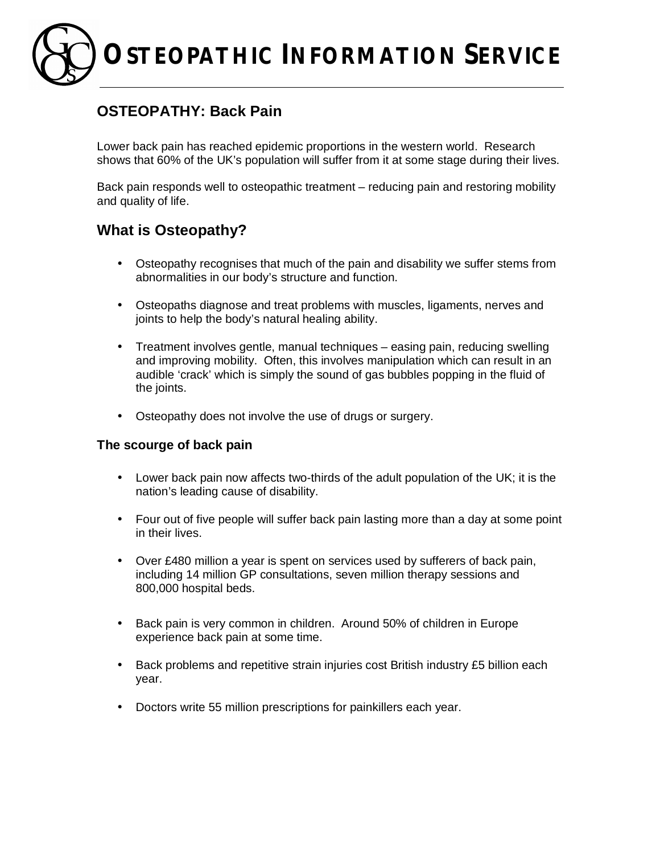# **OSTEOPATHIC INFORMATION SERVICE**

## **OSTEOPATHY: Back Pain**

Lower back pain has reached epidemic proportions in the western world. Research shows that 60% of the UK's population will suffer from it at some stage during their lives.

Back pain responds well to osteopathic treatment – reducing pain and restoring mobility and quality of life.

## **What is Osteopathy?**

- Osteopathy recognises that much of the pain and disability we suffer stems from abnormalities in our body's structure and function.
- Osteopaths diagnose and treat problems with muscles, ligaments, nerves and joints to help the body's natural healing ability.
- Treatment involves gentle, manual techniques easing pain, reducing swelling and improving mobility. Often, this involves manipulation which can result in an audible 'crack' which is simply the sound of gas bubbles popping in the fluid of the joints.
- Osteopathy does not involve the use of drugs or surgery.

#### **The scourge of back pain**

- Lower back pain now affects two-thirds of the adult population of the UK; it is the nation's leading cause of disability.
- Four out of five people will suffer back pain lasting more than a day at some point in their lives.
- Over £480 million a year is spent on services used by sufferers of back pain, including 14 million GP consultations, seven million therapy sessions and 800,000 hospital beds.
- Back pain is very common in children. Around 50% of children in Europe experience back pain at some time.
- Back problems and repetitive strain injuries cost British industry £5 billion each year.
- Doctors write 55 million prescriptions for painkillers each year.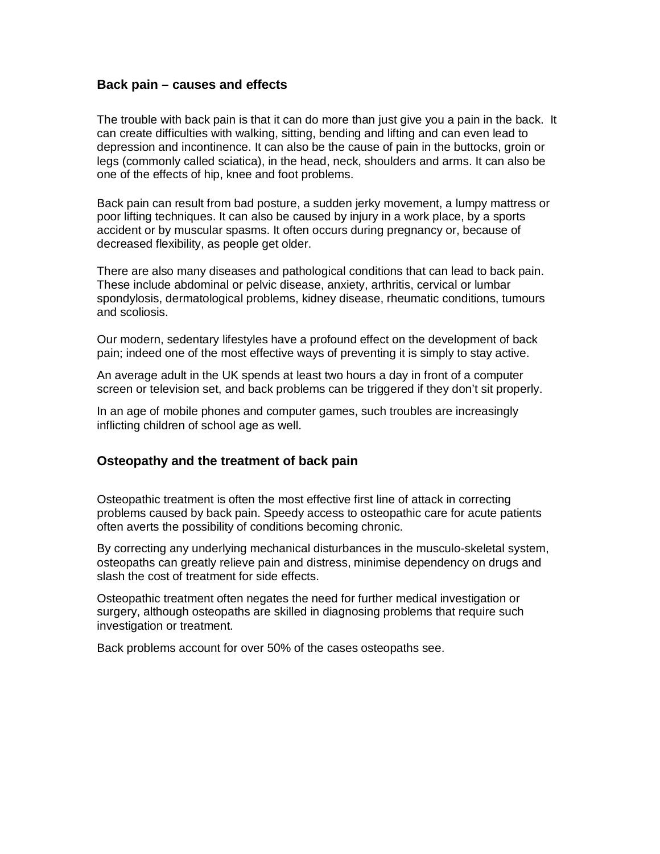#### **Back pain – causes and effects**

The trouble with back pain is that it can do more than just give you a pain in the back. It can create difficulties with walking, sitting, bending and lifting and can even lead to depression and incontinence. It can also be the cause of pain in the buttocks, groin or legs (commonly called sciatica), in the head, neck, shoulders and arms. It can also be one of the effects of hip, knee and foot problems.

Back pain can result from bad posture, a sudden jerky movement, a lumpy mattress or poor lifting techniques. It can also be caused by injury in a work place, by a sports accident or by muscular spasms. It often occurs during pregnancy or, because of decreased flexibility, as people get older.

There are also many diseases and pathological conditions that can lead to back pain. These include abdominal or pelvic disease, anxiety, arthritis, cervical or lumbar spondylosis, dermatological problems, kidney disease, rheumatic conditions, tumours and scoliosis.

Our modern, sedentary lifestyles have a profound effect on the development of back pain; indeed one of the most effective ways of preventing it is simply to stay active.

An average adult in the UK spends at least two hours a day in front of a computer screen or television set, and back problems can be triggered if they don't sit properly.

In an age of mobile phones and computer games, such troubles are increasingly inflicting children of school age as well.

#### **Osteopathy and the treatment of back pain**

Osteopathic treatment is often the most effective first line of attack in correcting problems caused by back pain. Speedy access to osteopathic care for acute patients often averts the possibility of conditions becoming chronic.

By correcting any underlying mechanical disturbances in the musculo-skeletal system, osteopaths can greatly relieve pain and distress, minimise dependency on drugs and slash the cost of treatment for side effects.

Osteopathic treatment often negates the need for further medical investigation or surgery, although osteopaths are skilled in diagnosing problems that require such investigation or treatment.

Back problems account for over 50% of the cases osteopaths see.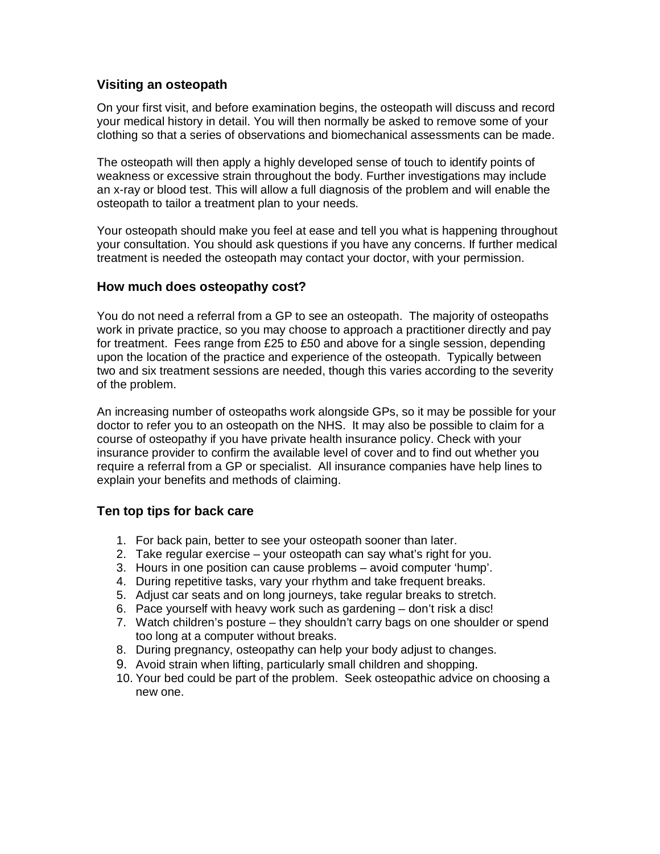#### **Visiting an osteopath**

On your first visit, and before examination begins, the osteopath will discuss and record your medical history in detail. You will then normally be asked to remove some of your clothing so that a series of observations and biomechanical assessments can be made.

The osteopath will then apply a highly developed sense of touch to identify points of weakness or excessive strain throughout the body. Further investigations may include an x-ray or blood test. This will allow a full diagnosis of the problem and will enable the osteopath to tailor a treatment plan to your needs.

Your osteopath should make you feel at ease and tell you what is happening throughout your consultation. You should ask questions if you have any concerns. If further medical treatment is needed the osteopath may contact your doctor, with your permission.

#### **How much does osteopathy cost?**

You do not need a referral from a GP to see an osteopath. The majority of osteopaths work in private practice, so you may choose to approach a practitioner directly and pay for treatment. Fees range from £25 to £50 and above for a single session, depending upon the location of the practice and experience of the osteopath. Typically between two and six treatment sessions are needed, though this varies according to the severity of the problem.

An increasing number of osteopaths work alongside GPs, so it may be possible for your doctor to refer you to an osteopath on the NHS. It may also be possible to claim for a course of osteopathy if you have private health insurance policy. Check with your insurance provider to confirm the available level of cover and to find out whether you require a referral from a GP or specialist. All insurance companies have help lines to explain your benefits and methods of claiming.

#### **Ten top tips for back care**

- 1. For back pain, better to see your osteopath sooner than later.
- 2. Take regular exercise your osteopath can say what's right for you.
- 3. Hours in one position can cause problems avoid computer 'hump'.
- 4. During repetitive tasks, vary your rhythm and take frequent breaks.
- 5. Adjust car seats and on long journeys, take regular breaks to stretch.
- 6. Pace yourself with heavy work such as gardening don't risk a disc!
- 7. Watch children's posture they shouldn't carry bags on one shoulder or spend too long at a computer without breaks.
- 8. During pregnancy, osteopathy can help your body adjust to changes.
- 9. Avoid strain when lifting, particularly small children and shopping.
- 10. Your bed could be part of the problem. Seek osteopathic advice on choosing a new one.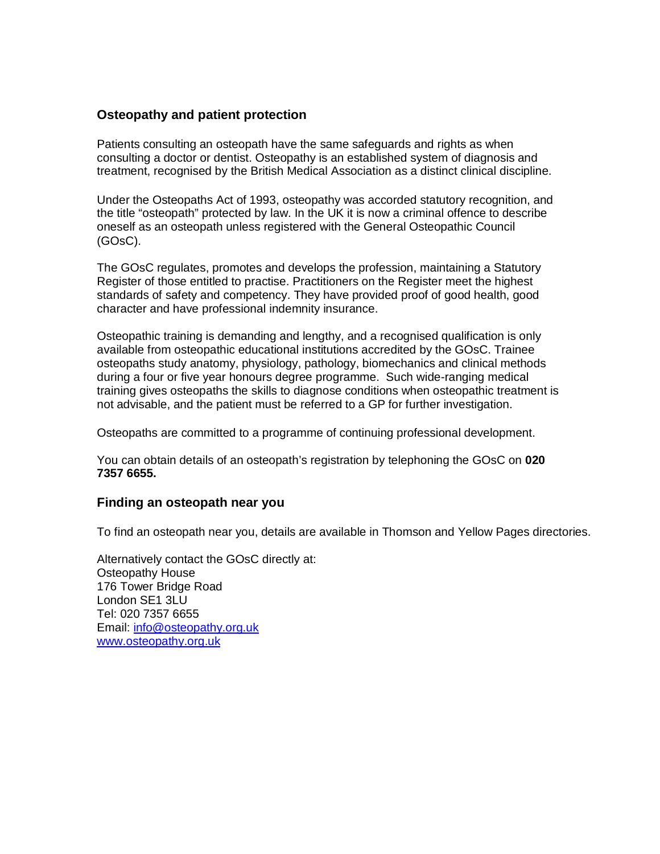#### **Osteopathy and patient protection**

Patients consulting an osteopath have the same safeguards and rights as when consulting a doctor or dentist. Osteopathy is an established system of diagnosis and treatment, recognised by the British Medical Association as a distinct clinical discipline.

Under the Osteopaths Act of 1993, osteopathy was accorded statutory recognition, and the title "osteopath" protected by law. In the UK it is now a criminal offence to describe oneself as an osteopath unless registered with the General Osteopathic Council (GOsC).

The GOsC regulates, promotes and develops the profession, maintaining a Statutory Register of those entitled to practise. Practitioners on the Register meet the highest standards of safety and competency. They have provided proof of good health, good character and have professional indemnity insurance.

Osteopathic training is demanding and lengthy, and a recognised qualification is only available from osteopathic educational institutions accredited by the GOsC. Trainee osteopaths study anatomy, physiology, pathology, biomechanics and clinical methods during a four or five year honours degree programme. Such wide-ranging medical training gives osteopaths the skills to diagnose conditions when osteopathic treatment is not advisable, and the patient must be referred to a GP for further investigation.

Osteopaths are committed to a programme of continuing professional development.

You can obtain details of an osteopath's registration by telephoning the GOsC on **020 7357 6655.**

#### **Finding an osteopath near you**

To find an osteopath near you, details are available in Thomson and Yellow Pages directories.

Alternatively contact the GOsC directly at: Osteopathy House 176 Tower Bridge Road London SE1 3LU Tel: 020 7357 6655 Email: [info@osteopathy.org.uk](mailto:info@osteopathy.org.uk) [www.osteopathy.org.uk](http://www.osteopathy.org.uk)